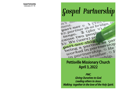## *Gospel Partnership*



## Pettisville Missionary Church April 3, 2022

PMC. Giving Ourselves to God. Leading others to Jesus. Walking together in the love of the Holy Spirit.